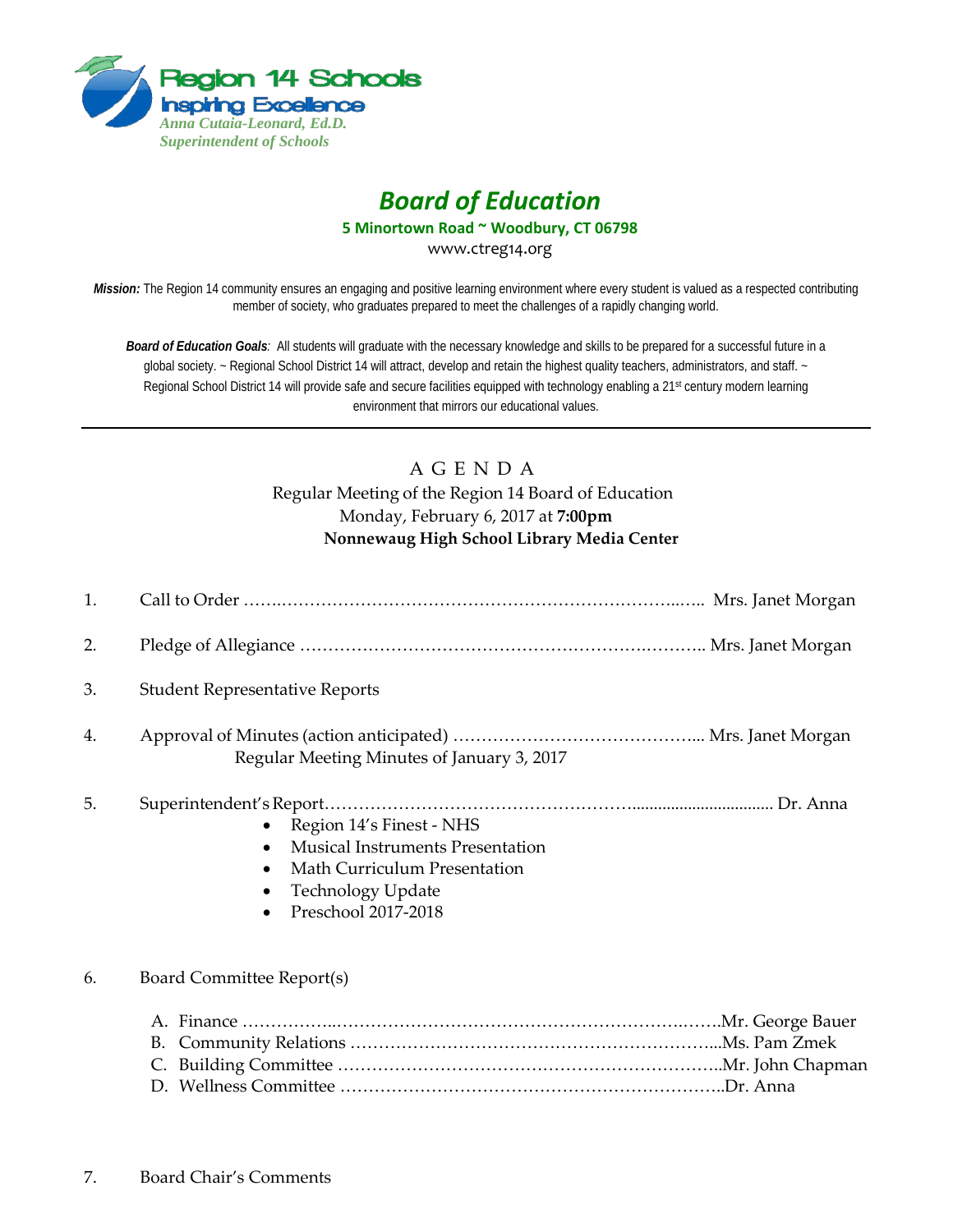

## *Board of Education*

**5 Minortown Road ~ Woodbury, CT 06798**

www.ctreg14.org

*Mission:* The Region 14 community ensures an engaging and positive learning environment where every student is valued as a respected contributing member of society, who graduates prepared to meet the challenges of a rapidly changing world.

*Board of Education Goals:* All students will graduate with the necessary knowledge and skills to be prepared for a successful future in a global society. ~ Regional School District 14 will attract, develop and retain the highest quality teachers, administrators, and staff. ~ Regional School District 14 will provide safe and secure facilities equipped with technology enabling a 21<sup>st</sup> century modern learning environment that mirrors our educational values.

## A G E N D A Regular Meeting of the Region 14 Board of Education Monday, February 6, 2017 at **7:00pm Nonnewaug High School Library Media Center**

| 1. |                                                                                                                                                        |  |
|----|--------------------------------------------------------------------------------------------------------------------------------------------------------|--|
| 2. |                                                                                                                                                        |  |
| 3. | <b>Student Representative Reports</b>                                                                                                                  |  |
| 4. | Regular Meeting Minutes of January 3, 2017                                                                                                             |  |
| 5. | Region 14's Finest - NHS<br><b>Musical Instruments Presentation</b><br>Math Curriculum Presentation<br><b>Technology Update</b><br>Preschool 2017-2018 |  |
| 6. | Board Committee Report(s)                                                                                                                              |  |
|    |                                                                                                                                                        |  |